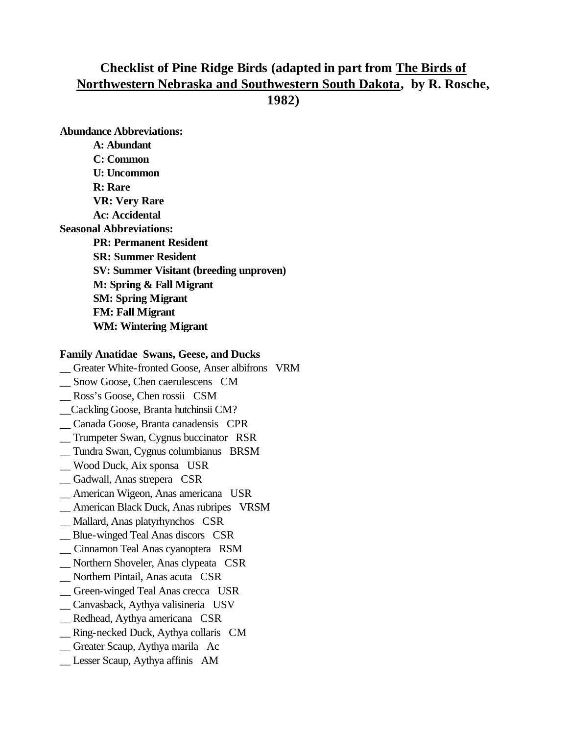# **Checklist of Pine Ridge Birds (adapted in part from The Birds of Northwestern Nebraska and Southwestern South Dakota, by R. Rosche,**

**1982)**

**Abundance Abbreviations: A: Abundant C: Common U: Uncommon R: Rare VR: Very Rare Ac: Accidental Seasonal Abbreviations: PR: Permanent Resident SR: Summer Resident SV: Summer Visitant (breeding unproven) M: Spring & Fall Migrant SM: Spring Migrant FM: Fall Migrant WM: Wintering Migrant**

### **Family Anatidae Swans, Geese, and Ducks**

- \_\_ Greater White-fronted Goose, Anser albifrons VRM
- \_\_ Snow Goose, Chen caerulescens CM
- \_\_ Ross's Goose, Chen rossii CSM
- \_\_Cackling Goose, Branta hutchinsii CM?
- \_\_ Canada Goose, Branta canadensis CPR
- \_\_ Trumpeter Swan, Cygnus buccinator RSR
- \_\_ Tundra Swan, Cygnus columbianus BRSM
- \_\_ Wood Duck, Aix sponsa USR
- \_\_ Gadwall, Anas strepera CSR
- \_\_ American Wigeon, Anas americana USR
- \_\_ American Black Duck, Anas rubripes VRSM
- \_\_ Mallard, Anas platyrhynchos CSR
- \_\_ Blue-winged Teal Anas discors CSR
- \_\_ Cinnamon Teal Anas cyanoptera RSM
- \_\_ Northern Shoveler, Anas clypeata CSR
- \_\_ Northern Pintail, Anas acuta CSR
- \_\_ Green-winged Teal Anas crecca USR
- \_\_ Canvasback, Aythya valisineria USV
- \_\_ Redhead, Aythya americana CSR
- \_\_ Ring-necked Duck, Aythya collaris CM
- \_\_ Greater Scaup, Aythya marila Ac
- Lesser Scaup, Aythya affinis AM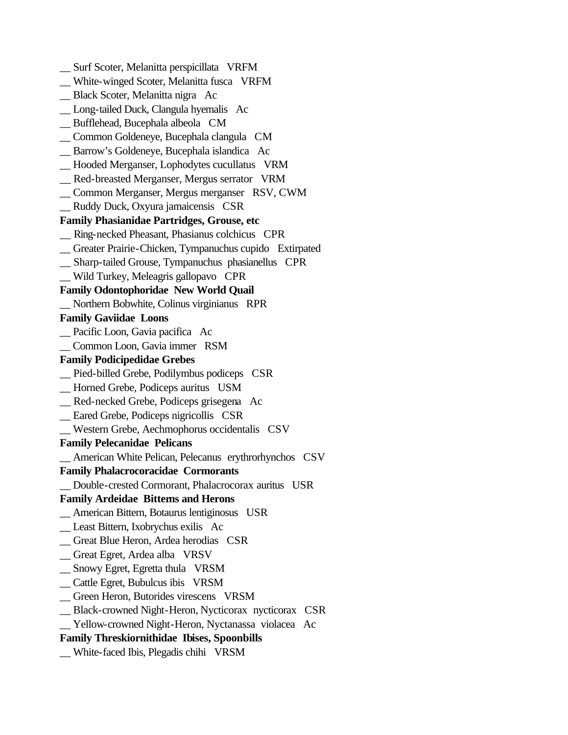\_\_ Surf Scoter, Melanitta perspicillata VRFM \_\_ White-winged Scoter, Melanitta fusca VRFM \_\_ Black Scoter, Melanitta nigra Ac \_\_ Long-tailed Duck, Clangula hyemalis Ac \_\_ Bufflehead, Bucephala albeola CM \_\_ Common Goldeneye, Bucephala clangula CM \_\_ Barrow's Goldeneye, Bucephala islandica Ac \_\_ Hooded Merganser, Lophodytes cucullatus VRM \_\_ Red-breasted Merganser, Mergus serrator VRM \_\_ Common Merganser, Mergus merganser RSV, CWM \_\_ Ruddy Duck, Oxyura jamaicensis CSR **Family Phasianidae Partridges, Grouse, etc** \_\_ Ring-necked Pheasant, Phasianus colchicus CPR \_\_ Greater Prairie-Chicken, Tympanuchus cupido Extirpated \_\_ Sharp-tailed Grouse, Tympanuchus phasianellus CPR \_\_ Wild Turkey, Meleagris gallopavo CPR **Family Odontophoridae New World Quail** \_\_ Northern Bobwhite, Colinus virginianus RPR **Family Gaviidae Loons** \_\_ Pacific Loon, Gavia pacifica Ac \_\_ Common Loon, Gavia immer RSM **Family Podicipedidae Grebes** \_\_ Pied-billed Grebe, Podilymbus podiceps CSR \_\_ Horned Grebe, Podiceps auritus USM \_\_ Red-necked Grebe, Podiceps grisegena Ac \_\_ Eared Grebe, Podiceps nigricollis CSR \_\_ Western Grebe, Aechmophorus occidentalis CSV **Family Pelecanidae Pelicans** \_\_ American White Pelican, Pelecanus erythrorhynchos CSV **Family Phalacrocoracidae Cormorants** \_\_ Double-crested Cormorant, Phalacrocorax auritus USR **Family Ardeidae Bitterns and Herons** \_\_ American Bittern, Botaurus lentiginosus USR \_\_ Least Bittern, Ixobrychus exilis Ac \_\_ Great Blue Heron, Ardea herodias CSR \_\_ Great Egret, Ardea alba VRSV \_\_ Snowy Egret, Egretta thula VRSM \_\_ Cattle Egret, Bubulcus ibis VRSM \_\_ Green Heron, Butorides virescens VRSM \_\_ Black-crowned Night-Heron, Nycticorax nycticorax CSR Yellow-crowned Night-Heron, Nyctanassa violacea Ac **Family Threskiornithidae Ibises, Spoonbills** \_\_ White-faced Ibis, Plegadis chihi VRSM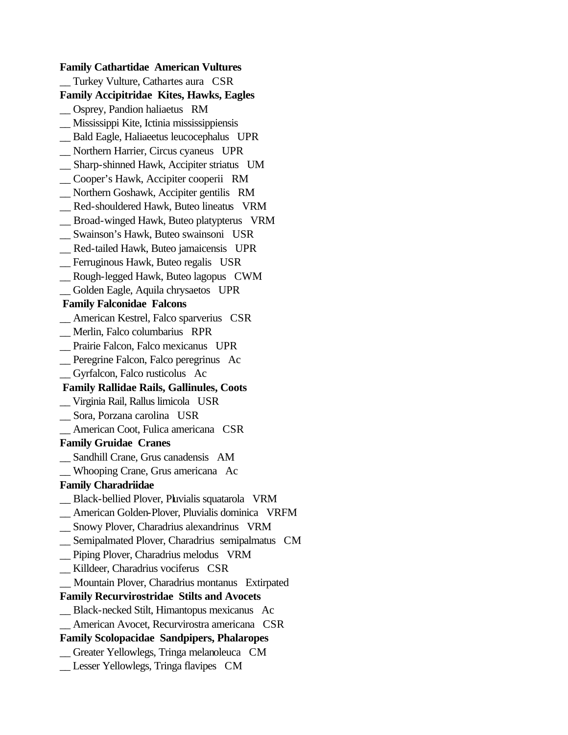**Family Cathartidae American Vultures** Turkey Vulture, Cathartes aura CSR **Family Accipitridae Kites, Hawks, Eagles** \_\_ Osprey, Pandion haliaetus RM \_\_ Mississippi Kite, Ictinia mississippiensis \_\_ Bald Eagle, Haliaeetus leucocephalus UPR \_\_ Northern Harrier, Circus cyaneus UPR \_\_ Sharp-shinned Hawk, Accipiter striatus UM \_\_ Cooper's Hawk, Accipiter cooperii RM \_\_ Northern Goshawk, Accipiter gentilis RM \_\_ Red-shouldered Hawk, Buteo lineatus VRM \_\_ Broad-winged Hawk, Buteo platypterus VRM \_\_ Swainson's Hawk, Buteo swainsoni USR \_\_ Red-tailed Hawk, Buteo jamaicensis UPR \_\_ Ferruginous Hawk, Buteo regalis USR \_\_ Rough-legged Hawk, Buteo lagopus CWM \_\_ Golden Eagle, Aquila chrysaetos UPR **Family Falconidae Falcons** \_\_ American Kestrel, Falco sparverius CSR \_\_ Merlin, Falco columbarius RPR \_\_ Prairie Falcon, Falco mexicanus UPR \_\_ Peregrine Falcon, Falco peregrinus Ac \_\_ Gyrfalcon, Falco rusticolus Ac **Family Rallidae Rails, Gallinules, Coots** \_\_ Virginia Rail, Rallus limicola USR \_\_ Sora, Porzana carolina USR \_\_ American Coot, Fulica americana CSR **Family Gruidae Cranes** \_\_ Sandhill Crane, Grus canadensis AM \_\_ Whooping Crane, Grus americana Ac **Family Charadriidae** \_\_ Black-bellied Plover, Pluvialis squatarola VRM \_\_ American Golden-Plover, Pluvialis dominica VRFM \_\_ Snowy Plover, Charadrius alexandrinus VRM \_\_ Semipalmated Plover, Charadrius semipalmatus CM \_\_ Piping Plover, Charadrius melodus VRM \_\_ Killdeer, Charadrius vociferus CSR \_\_ Mountain Plover, Charadrius montanus Extirpated **Family Recurvirostridae Stilts and Avocets** \_\_ Black-necked Stilt, Himantopus mexicanus Ac \_\_ American Avocet, Recurvirostra americana CSR **Family Scolopacidae Sandpipers, Phalaropes** \_\_ Greater Yellowlegs, Tringa melanoleuca CM \_\_ Lesser Yellowlegs, Tringa flavipes CM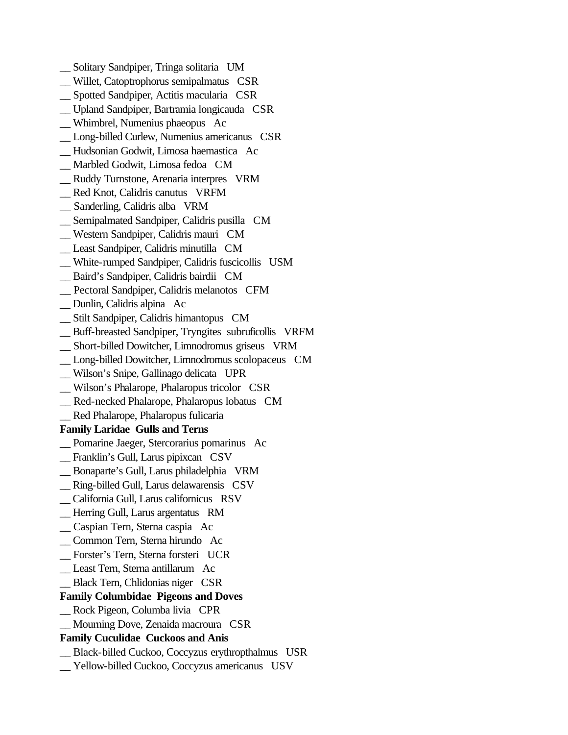- \_\_ Solitary Sandpiper, Tringa solitaria UM
- \_\_ Willet, Catoptrophorus semipalmatus CSR
- \_\_ Spotted Sandpiper, Actitis macularia CSR
- \_\_ Upland Sandpiper, Bartramia longicauda CSR
- \_\_ Whimbrel, Numenius phaeopus Ac
- \_\_ Long-billed Curlew, Numenius americanus CSR
- \_\_ Hudsonian Godwit, Limosa haemastica Ac
- \_\_ Marbled Godwit, Limosa fedoa CM
- \_\_ Ruddy Turnstone, Arenaria interpres VRM
- \_\_ Red Knot, Calidris canutus VRFM
- \_\_ Sanderling, Calidris alba VRM
- \_\_ Semipalmated Sandpiper, Calidris pusilla CM
- \_\_ Western Sandpiper, Calidris mauri CM
- \_\_ Least Sandpiper, Calidris minutilla CM
- \_\_ White-rumped Sandpiper, Calidris fuscicollis USM
- \_\_ Baird's Sandpiper, Calidris bairdii CM
- \_\_ Pectoral Sandpiper, Calidris melanotos CFM
- \_\_ Dunlin, Calidris alpina Ac
- \_\_ Stilt Sandpiper, Calidris himantopus CM
- \_\_ Buff-breasted Sandpiper, Tryngites subruficollis VRFM
- \_\_ Short-billed Dowitcher, Limnodromus griseus VRM
- \_\_ Long-billed Dowitcher, Limnodromus scolopaceus CM
- \_\_ Wilson's Snipe, Gallinago delicata UPR
- \_\_ Wilson's Phalarope, Phalaropus tricolor CSR
- \_\_ Red-necked Phalarope, Phalaropus lobatus CM
- \_\_ Red Phalarope, Phalaropus fulicaria

### **Family Laridae Gulls and Terns**

- \_\_ Pomarine Jaeger, Stercorarius pomarinus Ac
- \_\_ Franklin's Gull, Larus pipixcan CSV
- \_\_ Bonaparte's Gull, Larus philadelphia VRM
- \_\_ Ring-billed Gull, Larus delawarensis CSV
- \_\_ California Gull, Larus californicus RSV
- \_\_ Herring Gull, Larus argentatus RM
- \_\_ Caspian Tern, Sterna caspia Ac
- \_\_ Common Tern, Sterna hirundo Ac
- \_\_ Forster's Tern, Sterna forsteri UCR
- \_\_ Least Tern, Sterna antillarum Ac
- \_\_ Black Tern, Chlidonias niger CSR

### **Family Columbidae Pigeons and Doves**

- \_\_ Rock Pigeon, Columba livia CPR
- \_\_ Mourning Dove, Zenaida macroura CSR

## **Family Cuculidae Cuckoos and Anis**

- \_\_ Black-billed Cuckoo, Coccyzus erythropthalmus USR
- \_\_ Yellow-billed Cuckoo, Coccyzus americanus USV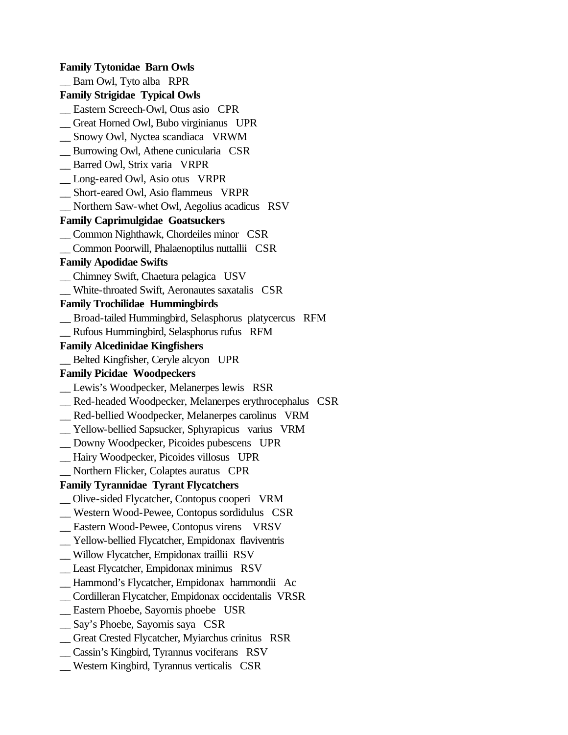**Family Tytonidae Barn Owls** \_\_ Barn Owl, Tyto alba RPR **Family Strigidae Typical Owls** \_\_ Eastern Screech-Owl, Otus asio CPR \_\_ Great Horned Owl, Bubo virginianus UPR \_\_ Snowy Owl, Nyctea scandiaca VRWM \_\_ Burrowing Owl, Athene cunicularia CSR \_\_ Barred Owl, Strix varia VRPR \_\_ Long-eared Owl, Asio otus VRPR \_\_ Short-eared Owl, Asio flammeus VRPR \_\_ Northern Saw-whet Owl, Aegolius acadicus RSV **Family Caprimulgidae Goatsuckers** \_\_ Common Nighthawk, Chordeiles minor CSR \_\_ Common Poorwill, Phalaenoptilus nuttallii CSR **Family Apodidae Swifts** \_\_ Chimney Swift, Chaetura pelagica USV \_\_ White-throated Swift, Aeronautes saxatalis CSR **Family Trochilidae Hummingbirds** \_\_ Broad-tailed Hummingbird, Selasphorus platycercus RFM \_\_ Rufous Hummingbird, Selasphorus rufus RFM **Family Alcedinidae Kingfishers** \_\_ Belted Kingfisher, Ceryle alcyon UPR **Family Picidae Woodpeckers** \_\_ Lewis's Woodpecker, Melanerpes lewis RSR \_\_ Red-headed Woodpecker, Melanerpes erythrocephalus CSR \_\_ Red-bellied Woodpecker, Melanerpes carolinus VRM \_\_ Yellow-bellied Sapsucker, Sphyrapicus varius VRM \_\_ Downy Woodpecker, Picoides pubescens UPR \_\_ Hairy Woodpecker, Picoides villosus UPR \_\_ Northern Flicker, Colaptes auratus CPR **Family Tyrannidae Tyrant Flycatchers** \_\_ Olive-sided Flycatcher, Contopus cooperi VRM \_\_ Western Wood-Pewee, Contopus sordidulus CSR \_\_ Eastern Wood-Pewee, Contopus virens VRSV \_\_ Yellow-bellied Flycatcher, Empidonax flaviventris \_\_ Willow Flycatcher, Empidonax traillii RSV \_\_ Least Flycatcher, Empidonax minimus RSV \_\_ Hammond's Flycatcher, Empidonax hammondii Ac \_\_ Cordilleran Flycatcher, Empidonax occidentalis VRSR \_\_ Eastern Phoebe, Sayornis phoebe USR \_\_ Say's Phoebe, Sayornis saya CSR \_\_ Great Crested Flycatcher, Myiarchus crinitus RSR \_\_ Cassin's Kingbird, Tyrannus vociferans RSV \_\_ Western Kingbird, Tyrannus verticalis CSR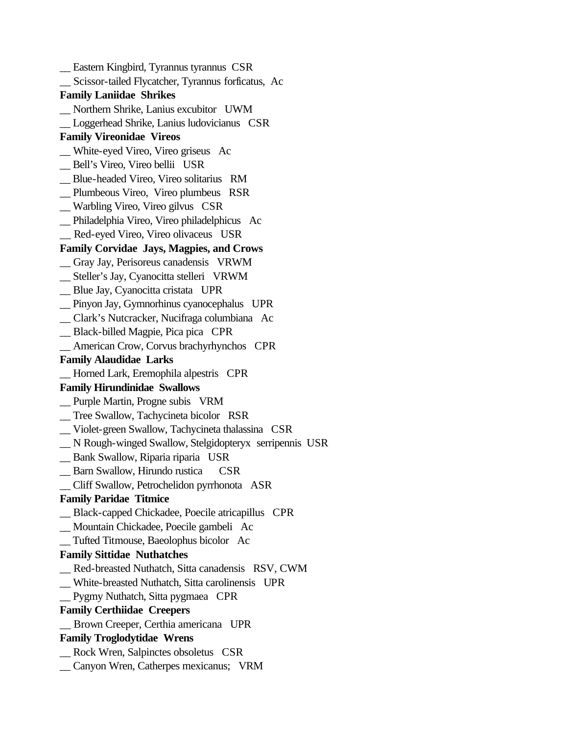\_\_ Eastern Kingbird, Tyrannus tyrannus CSR \_\_ Scissor-tailed Flycatcher, Tyrannus forficatus, Ac **Family Laniidae Shrikes** \_\_ Northern Shrike, Lanius excubitor UWM \_\_ Loggerhead Shrike, Lanius ludovicianus CSR **Family Vireonidae Vireos** \_\_ White-eyed Vireo, Vireo griseus Ac \_\_ Bell's Vireo, Vireo bellii USR \_\_ Blue-headed Vireo, Vireo solitarius RM \_\_ Plumbeous Vireo, Vireo plumbeus RSR \_\_ Warbling Vireo, Vireo gilvus CSR \_\_ Philadelphia Vireo, Vireo philadelphicus Ac \_\_ Red-eyed Vireo, Vireo olivaceus USR **Family Corvidae Jays, Magpies, and Crows** \_\_ Gray Jay, Perisoreus canadensis VRWM \_\_ Steller's Jay, Cyanocitta stelleri VRWM \_\_ Blue Jay, Cyanocitta cristata UPR \_\_ Pinyon Jay, Gymnorhinus cyanocephalus UPR \_\_ Clark's Nutcracker, Nucifraga columbiana Ac \_\_ Black-billed Magpie, Pica pica CPR \_\_ American Crow, Corvus brachyrhynchos CPR **Family Alaudidae Larks** \_\_ Horned Lark, Eremophila alpestris CPR **Family Hirundinidae Swallows** \_\_ Purple Martin, Progne subis VRM \_\_ Tree Swallow, Tachycineta bicolor RSR \_\_ Violet-green Swallow, Tachycineta thalassina CSR \_\_ N Rough-winged Swallow, Stelgidopteryx serripennis USR \_\_ Bank Swallow, Riparia riparia USR \_\_ Barn Swallow, Hirundo rustica CSR \_\_ Cliff Swallow, Petrochelidon pyrrhonota ASR **Family Paridae Titmice** \_\_ Black-capped Chickadee, Poecile atricapillus CPR \_\_ Mountain Chickadee, Poecile gambeli Ac \_\_ Tufted Titmouse, Baeolophus bicolor Ac **Family Sittidae Nuthatches** \_\_ Red-breasted Nuthatch, Sitta canadensis RSV, CWM \_\_ White-breasted Nuthatch, Sitta carolinensis UPR \_\_ Pygmy Nuthatch, Sitta pygmaea CPR **Family Certhiidae Creepers** \_\_ Brown Creeper, Certhia americana UPR **Family Troglodytidae Wrens** \_\_ Rock Wren, Salpinctes obsoletus CSR \_\_ Canyon Wren, Catherpes mexicanus; VRM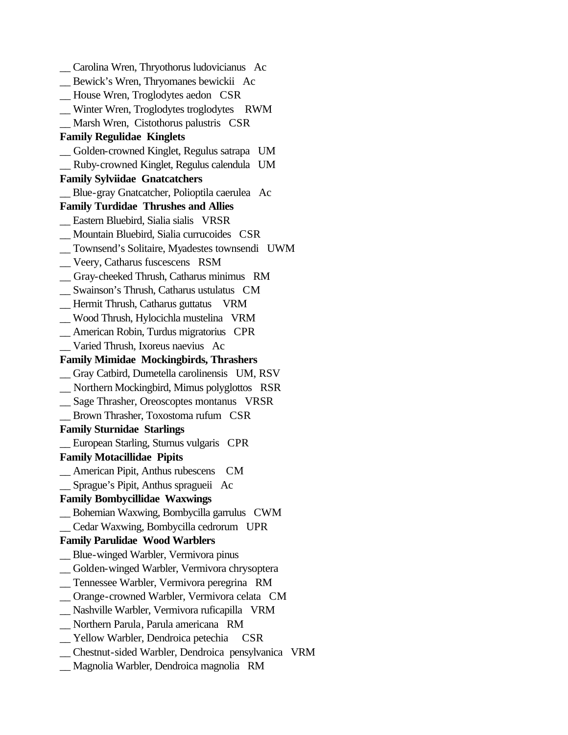\_\_ Carolina Wren, Thryothorus ludovicianus Ac \_\_ Bewick's Wren, Thryomanes bewickii Ac \_\_ House Wren, Troglodytes aedon CSR \_\_ Winter Wren, Troglodytes troglodytes RWM \_\_ Marsh Wren, Cistothorus palustris CSR **Family Regulidae Kinglets** \_\_ Golden-crowned Kinglet, Regulus satrapa UM \_\_ Ruby-crowned Kinglet, Regulus calendula UM **Family Sylviidae Gnatcatchers** \_\_ Blue-gray Gnatcatcher, Polioptila caerulea Ac **Family Turdidae Thrushes and Allies**  \_\_ Eastern Bluebird, Sialia sialis VRSR \_\_ Mountain Bluebird, Sialia currucoides CSR \_\_ Townsend's Solitaire, Myadestes townsendi UWM \_\_ Veery, Catharus fuscescens RSM \_\_ Gray-cheeked Thrush, Catharus minimus RM \_\_ Swainson's Thrush, Catharus ustulatus CM \_\_ Hermit Thrush, Catharus guttatus VRM \_\_ Wood Thrush, Hylocichla mustelina VRM \_\_ American Robin, Turdus migratorius CPR \_\_ Varied Thrush, Ixoreus naevius Ac **Family Mimidae Mockingbirds, Thrashers** \_\_ Gray Catbird, Dumetella carolinensis UM, RSV \_\_ Northern Mockingbird, Mimus polyglottos RSR \_\_ Sage Thrasher, Oreoscoptes montanus VRSR \_\_ Brown Thrasher, Toxostoma rufum CSR **Family Sturnidae Starlings** \_\_ European Starling, Sturnus vulgaris CPR **Family Motacillidae Pipits** \_\_ American Pipit, Anthus rubescens CM \_\_ Sprague's Pipit, Anthus spragueii Ac **Family Bombycillidae Waxwings** \_\_ Bohemian Waxwing, Bombycilla garrulus CWM \_\_ Cedar Waxwing, Bombycilla cedrorum UPR **Family Parulidae Wood Warblers** \_\_ Blue-winged Warbler, Vermivora pinus \_\_ Golden-winged Warbler, Vermivora chrysoptera \_\_ Tennessee Warbler, Vermivora peregrina RM \_\_ Orange-crowned Warbler, Vermivora celata CM \_\_ Nashville Warbler, Vermivora ruficapilla VRM \_\_ Northern Parula, Parula americana RM \_\_ Yellow Warbler, Dendroica petechia CSR \_\_ Chestnut-sided Warbler, Dendroica pensylvanica VRM \_\_ Magnolia Warbler, Dendroica magnolia RM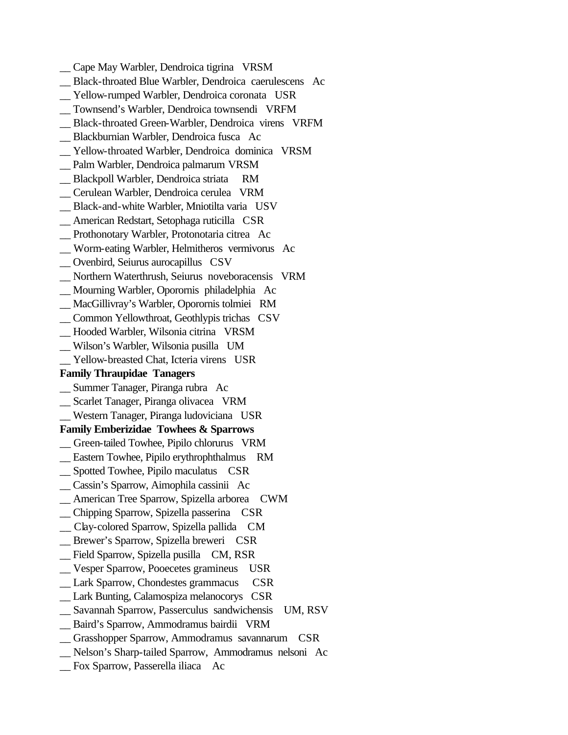- \_\_ Cape May Warbler, Dendroica tigrina VRSM
- \_\_ Black-throated Blue Warbler, Dendroica caerulescens Ac
- \_\_ Yellow-rumped Warbler, Dendroica coronata USR
- \_\_ Townsend's Warbler, Dendroica townsendi VRFM
- \_\_ Black-throated Green-Warbler, Dendroica virens VRFM
- \_\_ Blackburnian Warbler, Dendroica fusca Ac
- \_\_ Yellow-throated Warbler, Dendroica dominica VRSM
- \_\_ Palm Warbler, Dendroica palmarum VRSM
- \_\_ Blackpoll Warbler, Dendroica striata RM
- \_\_ Cerulean Warbler, Dendroica cerulea VRM
- \_\_ Black-and-white Warbler, Mniotilta varia USV
- \_\_ American Redstart, Setophaga ruticilla CSR
- \_\_ Prothonotary Warbler, Protonotaria citrea Ac
- \_\_ Worm-eating Warbler, Helmitheros vermivorus Ac
- \_\_ Ovenbird, Seiurus aurocapillus CSV
- \_\_ Northern Waterthrush, Seiurus noveboracensis VRM
- \_\_ Mourning Warbler, Oporornis philadelphia Ac
- \_\_ MacGillivray's Warbler, Oporornis tolmiei RM
- \_\_ Common Yellowthroat, Geothlypis trichas CSV
- \_\_ Hooded Warbler, Wilsonia citrina VRSM
- \_\_ Wilson's Warbler, Wilsonia pusilla UM
- Yellow-breasted Chat, Icteria virens USR

### **Family Thraupidae Tanagers**

- \_\_ Summer Tanager, Piranga rubra Ac
- \_\_ Scarlet Tanager, Piranga olivacea VRM
- \_\_ Western Tanager, Piranga ludoviciana USR

### **Family Emberizidae Towhees & Sparrows**

- \_\_ Green-tailed Towhee, Pipilo chlorurus VRM
- \_\_ Eastern Towhee, Pipilo erythrophthalmus RM
- \_\_ Spotted Towhee, Pipilo maculatus CSR
- \_\_ Cassin's Sparrow, Aimophila cassinii Ac
- \_\_ American Tree Sparrow, Spizella arborea CWM
- \_\_ Chipping Sparrow, Spizella passerina CSR
- \_\_ Clay-colored Sparrow, Spizella pallida CM
- \_\_ Brewer's Sparrow, Spizella breweri CSR
- \_\_ Field Sparrow, Spizella pusilla CM, RSR
- \_\_ Vesper Sparrow, Pooecetes gramineus USR
- Lark Sparrow, Chondestes grammacus CSR
- \_\_ Lark Bunting, Calamospiza melanocorys CSR
- \_\_ Savannah Sparrow, Passerculus sandwichensis UM, RSV
- \_\_ Baird's Sparrow, Ammodramus bairdii VRM
- \_\_ Grasshopper Sparrow, Ammodramus savannarum CSR
- \_\_ Nelson's Sharp-tailed Sparrow, Ammodramus nelsoni Ac
- \_\_ Fox Sparrow, Passerella iliaca Ac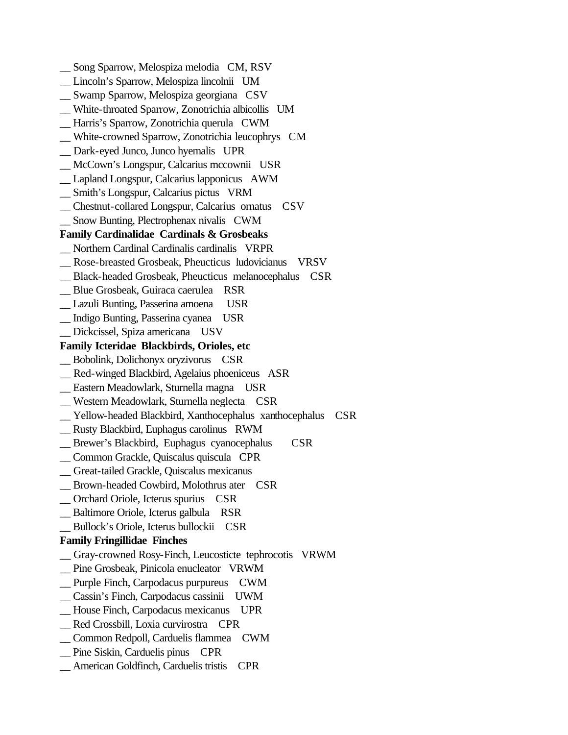Song Sparrow, Melospiza melodia CM, RSV \_\_ Lincoln's Sparrow, Melospiza lincolnii UM \_\_ Swamp Sparrow, Melospiza georgiana CSV \_\_ White-throated Sparrow, Zonotrichia albicollis UM \_\_ Harris's Sparrow, Zonotrichia querula CWM \_\_ White-crowned Sparrow, Zonotrichia leucophrys CM \_\_ Dark-eyed Junco, Junco hyemalis UPR \_\_ McCown's Longspur, Calcarius mccownii USR \_\_ Lapland Longspur, Calcarius lapponicus AWM \_\_ Smith's Longspur, Calcarius pictus VRM \_\_ Chestnut-collared Longspur, Calcarius ornatus CSV \_\_ Snow Bunting, Plectrophenax nivalis CWM **Family Cardinalidae Cardinals & Grosbeaks** \_\_ Northern Cardinal Cardinalis cardinalis VRPR \_\_ Rose-breasted Grosbeak, Pheucticus ludovicianus VRSV \_\_ Black-headed Grosbeak, Pheucticus melanocephalus CSR \_\_ Blue Grosbeak, Guiraca caerulea RSR \_\_ Lazuli Bunting, Passerina amoena USR \_\_ Indigo Bunting, Passerina cyanea USR \_\_ Dickcissel, Spiza americana USV **Family Icteridae Blackbirds, Orioles, etc** \_\_ Bobolink, Dolichonyx oryzivorus CSR \_\_ Red-winged Blackbird, Agelaius phoeniceus ASR \_\_ Eastern Meadowlark, Sturnella magna USR \_\_ Western Meadowlark, Sturnella neglecta CSR \_\_ Yellow-headed Blackbird, Xanthocephalus xanthocephalus CSR \_\_ Rusty Blackbird, Euphagus carolinus RWM \_\_ Brewer's Blackbird, Euphagus cyanocephalus CSR \_\_ Common Grackle, Quiscalus quiscula CPR \_\_ Great-tailed Grackle, Quiscalus mexicanus \_\_ Brown-headed Cowbird, Molothrus ater CSR \_\_ Orchard Oriole, Icterus spurius CSR \_\_ Baltimore Oriole, Icterus galbula RSR \_\_ Bullock's Oriole, Icterus bullockii CSR **Family Fringillidae Finches** \_\_ Gray-crowned Rosy-Finch, Leucosticte tephrocotis VRWM \_\_ Pine Grosbeak, Pinicola enucleator VRWM \_\_ Purple Finch, Carpodacus purpureus CWM \_\_ Cassin's Finch, Carpodacus cassinii UWM \_\_ House Finch, Carpodacus mexicanus UPR \_\_ Red Crossbill, Loxia curvirostra CPR \_\_ Common Redpoll, Carduelis flammea CWM \_\_ Pine Siskin, Carduelis pinus CPR \_\_ American Goldfinch, Carduelis tristis CPR